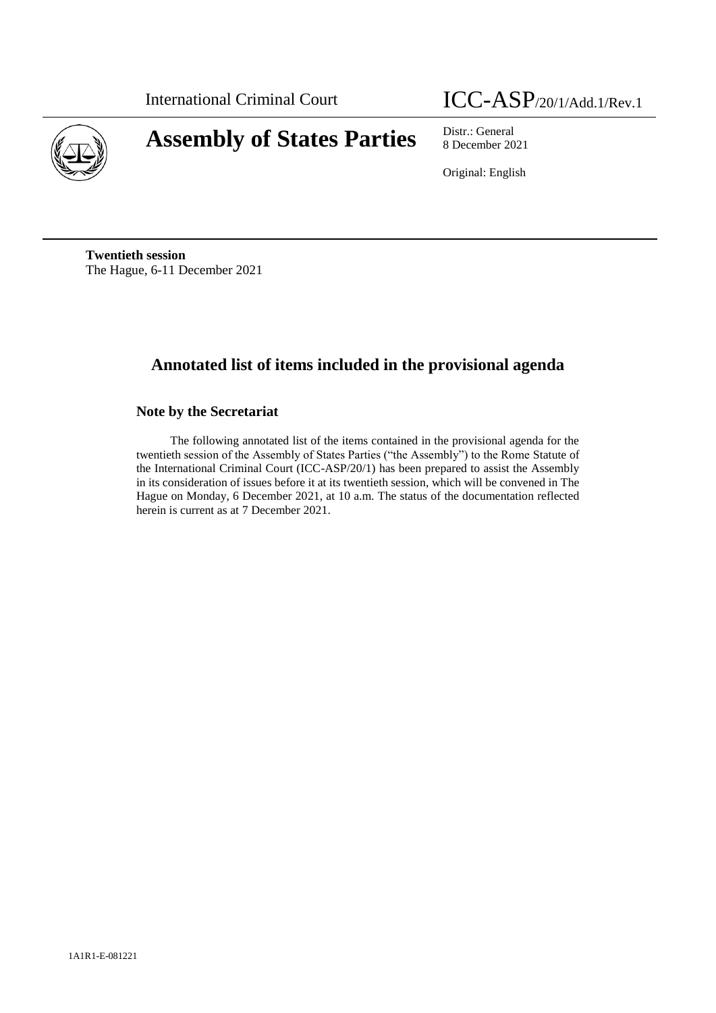

# International Criminal Court ICC-ASP/20/1/Add.1/Rev.1

8 December 2021

Original: English

**Twentieth session** The Hague, 6-11 December 2021

## **Annotated list of items included in the provisional agenda**

## **Note by the Secretariat**

The following annotated list of the items contained in the provisional agenda for the twentieth session of the Assembly of States Parties ("the Assembly") to the Rome Statute of the International Criminal Court (ICC-ASP/20/1) has been prepared to assist the Assembly in its consideration of issues before it at its twentieth session, which will be convened in The Hague on Monday, 6 December 2021, at 10 a.m. The status of the documentation reflected herein is current as at 7 December 2021.

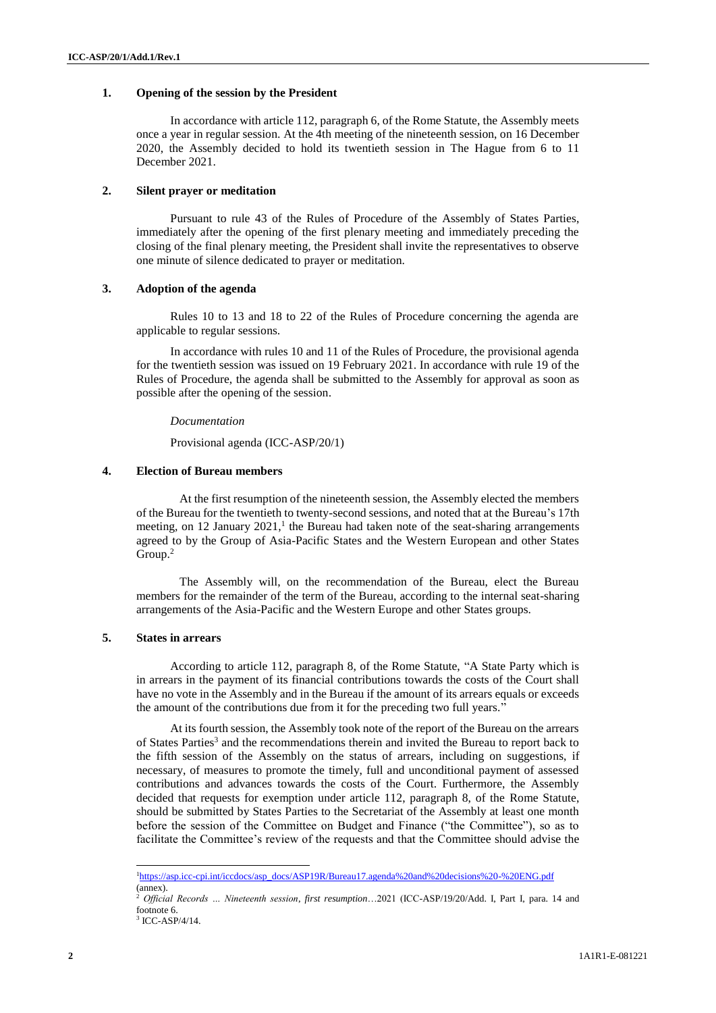## **1. Opening of the session by the President**

In accordance with article 112, paragraph 6, of the Rome Statute, the Assembly meets once a year in regular session. At the 4th meeting of the nineteenth session, on 16 December 2020, the Assembly decided to hold its twentieth session in The Hague from 6 to 11 December 2021.

## **2. Silent prayer or meditation**

Pursuant to rule 43 of the Rules of Procedure of the Assembly of States Parties, immediately after the opening of the first plenary meeting and immediately preceding the closing of the final plenary meeting, the President shall invite the representatives to observe one minute of silence dedicated to prayer or meditation.

## **3. Adoption of the agenda**

Rules 10 to 13 and 18 to 22 of the Rules of Procedure concerning the agenda are applicable to regular sessions.

In accordance with rules 10 and 11 of the Rules of Procedure, the provisional agenda for the twentieth session was issued on 19 February 2021. In accordance with rule 19 of the Rules of Procedure, the agenda shall be submitted to the Assembly for approval as soon as possible after the opening of the session.

#### *Documentation*

Provisional agenda (ICC-ASP/20/1)

## **4. Election of Bureau members**

At the first resumption of the nineteenth session, the Assembly elected the members of the Bureau for the twentieth to twenty-second sessions, and noted that at the Bureau's 17th meeting, on 12 January  $2021$ ,<sup>1</sup> the Bureau had taken note of the seat-sharing arrangements agreed to by the Group of Asia-Pacific States and the Western European and other States Group.<sup>2</sup>

The Assembly will, on the recommendation of the Bureau, elect the Bureau members for the remainder of the term of the Bureau, according to the internal seat-sharing arrangements of the Asia-Pacific and the Western Europe and other States groups.

## **5. States in arrears**

According to article 112, paragraph 8, of the Rome Statute, "A State Party which is in arrears in the payment of its financial contributions towards the costs of the Court shall have no vote in the Assembly and in the Bureau if the amount of its arrears equals or exceeds the amount of the contributions due from it for the preceding two full years."

At its fourth session, the Assembly took note of the report of the Bureau on the arrears of States Parties<sup>3</sup> and the recommendations therein and invited the Bureau to report back to the fifth session of the Assembly on the status of arrears, including on suggestions, if necessary, of measures to promote the timely, full and unconditional payment of assessed contributions and advances towards the costs of the Court. Furthermore, the Assembly decided that requests for exemption under article 112, paragraph 8, of the Rome Statute, should be submitted by States Parties to the Secretariat of the Assembly at least one month before the session of the Committee on Budget and Finance ("the Committee"), so as to facilitate the Committee's review of the requests and that the Committee should advise the

 $\overline{\phantom{a}}$ 

<sup>&</sup>lt;sup>1</sup>[https://asp.icc-cpi.int/iccdocs/asp\\_docs/ASP19R/Bureau17.agenda%20and%20decisions%20-%20ENG.pdf](https://asp.icc-cpi.int/iccdocs/asp_docs/ASP19R/Bureau17.agenda%20and%20decisions%20-%20ENG.pdf) (annex).

<sup>2</sup> *Official Records … Nineteenth session*, *first resumption*…2021 (ICC-ASP/19/20/Add. I, Part I, para. 14 and footnote 6.

<sup>3</sup> ICC-ASP/4/14.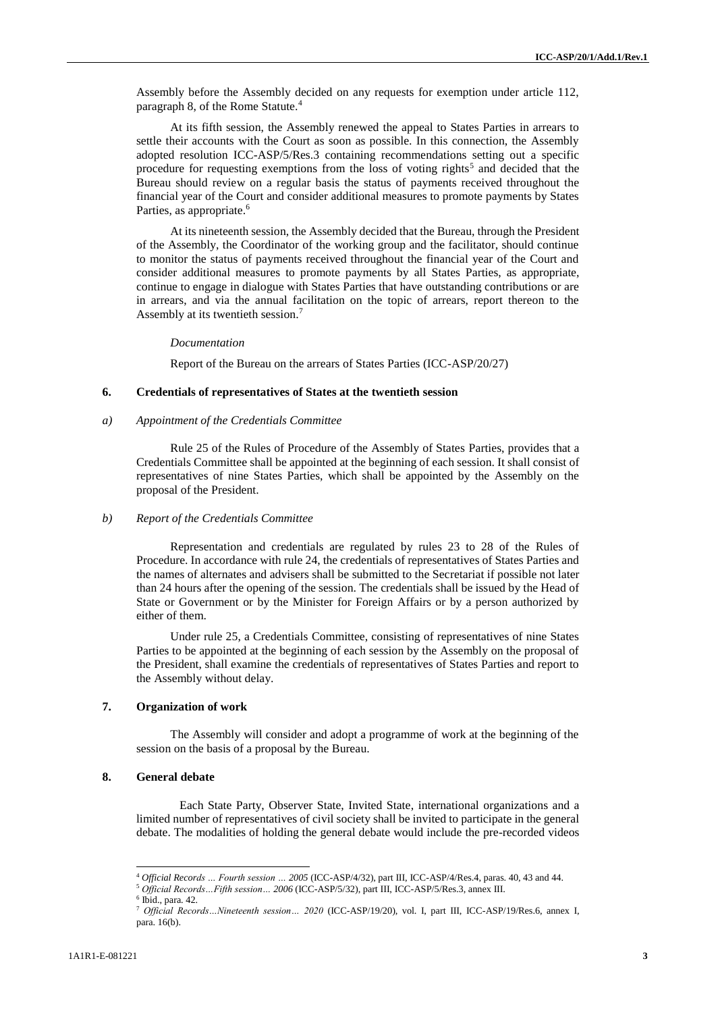Assembly before the Assembly decided on any requests for exemption under article 112, paragraph 8, of the Rome Statute.<sup>4</sup>

At its fifth session, the Assembly renewed the appeal to States Parties in arrears to settle their accounts with the Court as soon as possible. In this connection, the Assembly adopted resolution ICC-ASP/5/Res.3 containing recommendations setting out a specific procedure for requesting exemptions from the loss of voting rights<sup>5</sup> and decided that the Bureau should review on a regular basis the status of payments received throughout the financial year of the Court and consider additional measures to promote payments by States Parties, as appropriate.<sup>6</sup>

At its nineteenth session, the Assembly decided that the Bureau, through the President of the Assembly, the Coordinator of the working group and the facilitator, should continue to monitor the status of payments received throughout the financial year of the Court and consider additional measures to promote payments by all States Parties, as appropriate, continue to engage in dialogue with States Parties that have outstanding contributions or are in arrears, and via the annual facilitation on the topic of arrears, report thereon to the Assembly at its twentieth session.<sup>7</sup>

#### *Documentation*

Report of the Bureau on the arrears of States Parties (ICC-ASP/20/27)

#### **6. Credentials of representatives of States at the twentieth session**

## *a) Appointment of the Credentials Committee*

Rule 25 of the Rules of Procedure of the Assembly of States Parties, provides that a Credentials Committee shall be appointed at the beginning of each session. It shall consist of representatives of nine States Parties, which shall be appointed by the Assembly on the proposal of the President.

## *b) Report of the Credentials Committee*

Representation and credentials are regulated by rules 23 to 28 of the Rules of Procedure. In accordance with rule 24, the credentials of representatives of States Parties and the names of alternates and advisers shall be submitted to the Secretariat if possible not later than 24 hours after the opening of the session. The credentials shall be issued by the Head of State or Government or by the Minister for Foreign Affairs or by a person authorized by either of them.

Under rule 25, a Credentials Committee, consisting of representatives of nine States Parties to be appointed at the beginning of each session by the Assembly on the proposal of the President, shall examine the credentials of representatives of States Parties and report to the Assembly without delay.

## **7. Organization of work**

The Assembly will consider and adopt a programme of work at the beginning of the session on the basis of a proposal by the Bureau.

## **8. General debate**

Each State Party, Observer State, Invited State, international organizations and a limited number of representatives of civil society shall be invited to participate in the general debate. The modalities of holding the general debate would include the pre-recorded videos

<sup>4</sup> *Official Records … Fourth session … 2005* (ICC-ASP/4/32), part III, ICC-ASP/4/Res.4, paras. 40, 43 and 44.

<sup>5</sup> *Official Records…Fifth session… 2006* (ICC-ASP/5/32), part III, ICC-ASP/5/Res.3, annex III.

<sup>6</sup> Ibid., para. 42.

<sup>7</sup> *Official Records…Nineteenth session… 2020* (ICC-ASP/19/20), vol. I, part III, ICC-ASP/19/Res.6, annex I, para. 16(b).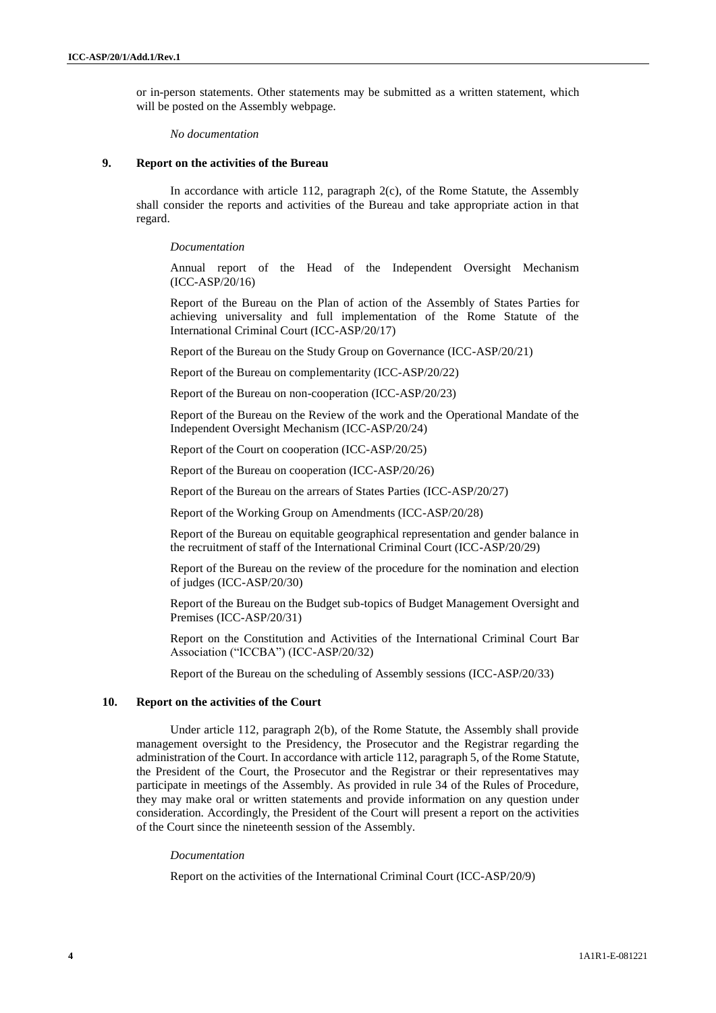or in-person statements. Other statements may be submitted as a written statement, which will be posted on the Assembly webpage*.*

*No documentation*

### **9. Report on the activities of the Bureau**

In accordance with article 112, paragraph 2(c), of the Rome Statute, the Assembly shall consider the reports and activities of the Bureau and take appropriate action in that regard.

*Documentation*

Annual report of the Head of the Independent Oversight Mechanism (ICC-ASP/20/16)

Report of the Bureau on the Plan of action of the Assembly of States Parties for achieving universality and full implementation of the Rome Statute of the International Criminal Court (ICC-ASP/20/17)

Report of the Bureau on the Study Group on Governance (ICC-ASP/20/21)

Report of the Bureau on complementarity (ICC-ASP/20/22)

Report of the Bureau on non-cooperation (ICC-ASP/20/23)

Report of the Bureau on the Review of the work and the Operational Mandate of the Independent Oversight Mechanism (ICC-ASP/20/24)

Report of the Court on cooperation (ICC-ASP/20/25)

Report of the Bureau on cooperation (ICC-ASP/20/26)

Report of the Bureau on the arrears of States Parties (ICC-ASP/20/27)

Report of the Working Group on Amendments (ICC-ASP/20/28)

Report of the Bureau on equitable geographical representation and gender balance in the recruitment of staff of the International Criminal Court (ICC-ASP/20/29)

Report of the Bureau on the review of the procedure for the nomination and election of judges (ICC-ASP/20/30)

Report of the Bureau on the Budget sub-topics of Budget Management Oversight and Premises (ICC-ASP/20/31)

Report on the Constitution and Activities of the International Criminal Court Bar Association ("ICCBA") (ICC-ASP/20/32)

Report of the Bureau on the scheduling of Assembly sessions (ICC-ASP/20/33)

## **10. Report on the activities of the Court**

Under article 112, paragraph 2(b), of the Rome Statute, the Assembly shall provide management oversight to the Presidency, the Prosecutor and the Registrar regarding the administration of the Court. In accordance with article 112, paragraph 5, of the Rome Statute, the President of the Court, the Prosecutor and the Registrar or their representatives may participate in meetings of the Assembly. As provided in rule 34 of the Rules of Procedure, they may make oral or written statements and provide information on any question under consideration. Accordingly, the President of the Court will present a report on the activities of the Court since the nineteenth session of the Assembly.

#### *Documentation*

Report on the activities of the International Criminal Court (ICC-ASP/20/9)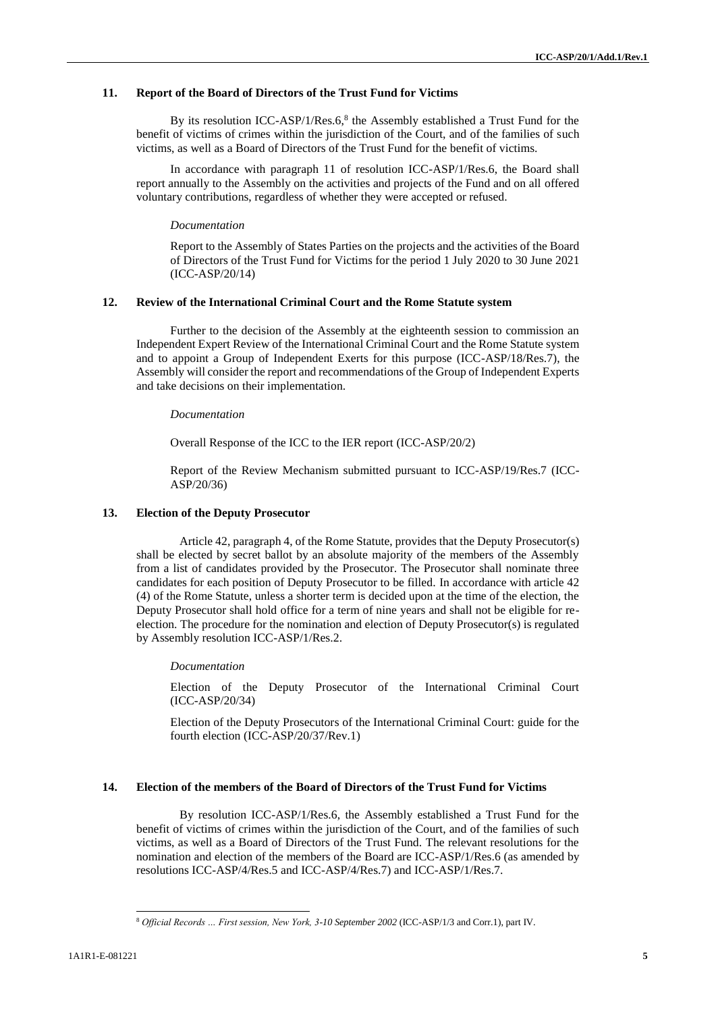## **11. Report of the Board of Directors of the Trust Fund for Victims**

By its resolution ICC-ASP/1/Res.6, $8$  the Assembly established a Trust Fund for the benefit of victims of crimes within the jurisdiction of the Court, and of the families of such victims, as well as a Board of Directors of the Trust Fund for the benefit of victims.

In accordance with paragraph 11 of resolution ICC-ASP/1/Res.6, the Board shall report annually to the Assembly on the activities and projects of the Fund and on all offered voluntary contributions, regardless of whether they were accepted or refused.

#### *Documentation*

Report to the Assembly of States Parties on the projects and the activities of the Board of Directors of the Trust Fund for Victims for the period 1 July 2020 to 30 June 2021 (ICC-ASP/20/14)

## **12. Review of the International Criminal Court and the Rome Statute system**

Further to the decision of the Assembly at the eighteenth session to commission an Independent Expert Review of the International Criminal Court and the Rome Statute system and to appoint a Group of Independent Exerts for this purpose (ICC-ASP/18/Res.7), the Assembly will consider the report and recommendations of the Group of Independent Experts and take decisions on their implementation.

#### *Documentation*

Overall Response of the ICC to the IER report (ICC-ASP/20/2)

Report of the Review Mechanism submitted pursuant to ICC-ASP/19/Res.7 (ICC-ASP/20/36)

#### **13. Election of the Deputy Prosecutor**

Article 42, paragraph 4, of the Rome Statute, provides that the Deputy Prosecutor(s) shall be elected by secret ballot by an absolute majority of the members of the Assembly from a list of candidates provided by the Prosecutor. The Prosecutor shall nominate three candidates for each position of Deputy Prosecutor to be filled. In accordance with article 42 (4) of the Rome Statute, unless a shorter term is decided upon at the time of the election, the Deputy Prosecutor shall hold office for a term of nine years and shall not be eligible for reelection. The procedure for the nomination and election of Deputy Prosecutor(s) is regulated by Assembly resolution ICC-ASP/1/Res.2.

#### *Documentation*

Election of the Deputy Prosecutor of the International Criminal Court (ICC-ASP/20/34)

Election of the Deputy Prosecutors of the International Criminal Court: guide for the fourth election (ICC-ASP/20/37/Rev.1)

## **14. Election of the members of the Board of Directors of the Trust Fund for Victims**

By resolution ICC-ASP/1/Res.6, the Assembly established a Trust Fund for the benefit of victims of crimes within the jurisdiction of the Court, and of the families of such victims, as well as a Board of Directors of the Trust Fund. The relevant resolutions for the nomination and election of the members of the Board are ICC-ASP/1/Res.6 (as amended by resolutions ICC-ASP/4/Res.5 and ICC-ASP/4/Res.7) and ICC-ASP/1/Res.7.

 $\overline{\phantom{a}}$ 

<sup>8</sup> *Official Records … First session, New York, 3-10 September 2002* (ICC-ASP/1/3 and Corr.1), part IV.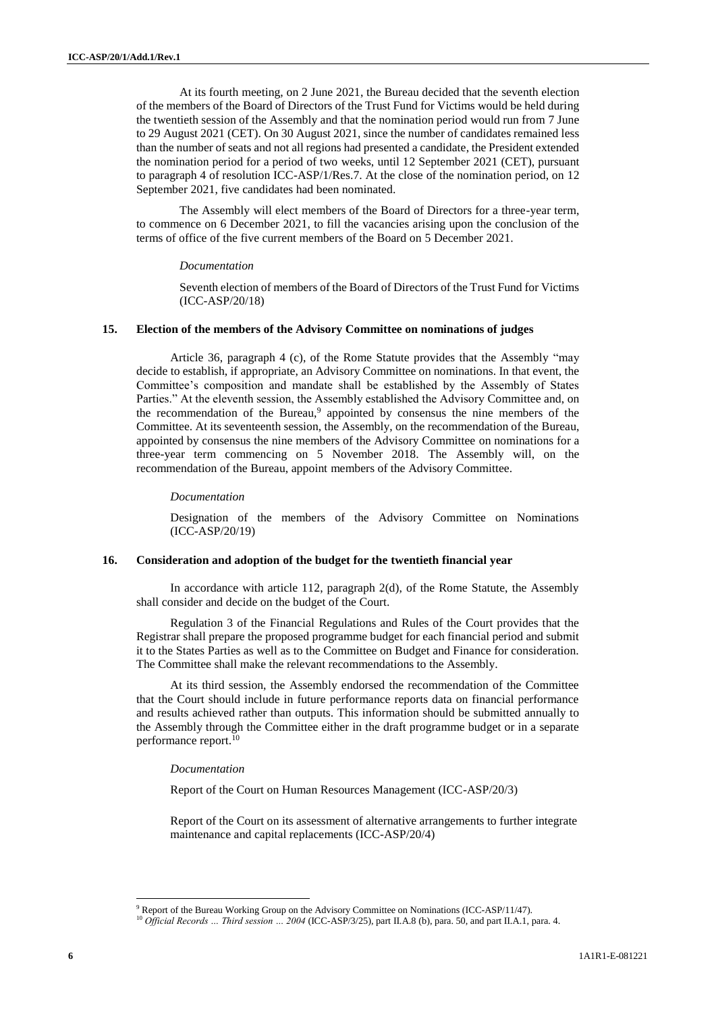At its fourth meeting, on 2 June 2021, the Bureau decided that the seventh election of the members of the Board of Directors of the Trust Fund for Victims would be held during the twentieth session of the Assembly and that the nomination period would run from 7 June to 29 August 2021 (CET). On 30 August 2021, since the number of candidates remained less than the number of seats and not all regions had presented a candidate, the President extended the nomination period for a period of two weeks, until 12 September 2021 (CET), pursuant to paragraph 4 of resolution ICC-ASP/1/Res.7. At the close of the nomination period, on 12 September 2021, five candidates had been nominated.

The Assembly will elect members of the Board of Directors for a three-year term, to commence on 6 December 2021, to fill the vacancies arising upon the conclusion of the terms of office of the five current members of the Board on 5 December 2021.

#### *Documentation*

Seventh election of members of the Board of Directors of the Trust Fund for Victims (ICC-ASP/20/18)

## **15. Election of the members of the Advisory Committee on nominations of judges**

Article 36, paragraph 4 (c), of the Rome Statute provides that the Assembly "may decide to establish, if appropriate, an Advisory Committee on nominations. In that event, the Committee's composition and mandate shall be established by the Assembly of States Parties." At the eleventh session, the Assembly established the Advisory Committee and, on the recommendation of the Bureau,<sup>9</sup> appointed by consensus the nine members of the Committee. At its seventeenth session, the Assembly, on the recommendation of the Bureau, appointed by consensus the nine members of the Advisory Committee on nominations for a three-year term commencing on 5 November 2018. The Assembly will, on the recommendation of the Bureau, appoint members of the Advisory Committee.

#### *Documentation*

Designation of the members of the Advisory Committee on Nominations (ICC-ASP/20/19)

#### **16. Consideration and adoption of the budget for the twentieth financial year**

In accordance with article 112, paragraph 2(d), of the Rome Statute, the Assembly shall consider and decide on the budget of the Court.

Regulation 3 of the Financial Regulations and Rules of the Court provides that the Registrar shall prepare the proposed programme budget for each financial period and submit it to the States Parties as well as to the Committee on Budget and Finance for consideration. The Committee shall make the relevant recommendations to the Assembly.

At its third session, the Assembly endorsed the recommendation of the Committee that the Court should include in future performance reports data on financial performance and results achieved rather than outputs. This information should be submitted annually to the Assembly through the Committee either in the draft programme budget or in a separate performance report.<sup>10</sup>

#### *Documentation*

Report of the Court on Human Resources Management (ICC-ASP/20/3)

Report of the Court on its assessment of alternative arrangements to further integrate maintenance and capital replacements (ICC-ASP/20/4)

<sup>&</sup>lt;sup>9</sup> Report of the Bureau Working Group on the Advisory Committee on Nominations (ICC-ASP/11/47).

<sup>&</sup>lt;sup>10</sup> Official Records ... Third session ... 2004 (ICC-ASP/3/25), part II.A.8 (b), para. 50, and part II.A.1, para. 4.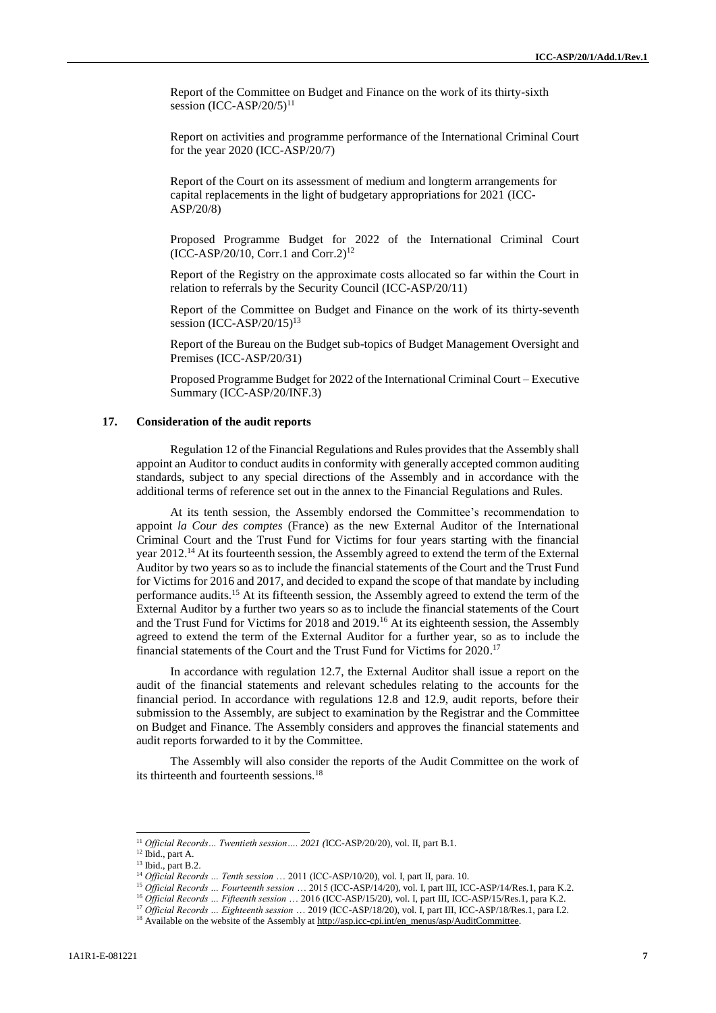Report of the Committee on Budget and Finance on the work of its thirty-sixth session  $(ICC-ASP/20/5)^{11}$ 

Report on activities and programme performance of the International Criminal Court for the year 2020 (ICC-ASP/20/7)

Report of the Court on its assessment of medium and longterm arrangements for capital replacements in the light of budgetary appropriations for 2021 (ICC-ASP/20/8)

Proposed Programme Budget for 2022 of the International Criminal Court  $(ICC-ASP/20/10, Corr.1 and Corr.2)^{12}$ 

Report of the Registry on the approximate costs allocated so far within the Court in relation to referrals by the Security Council (ICC-ASP/20/11)

Report of the Committee on Budget and Finance on the work of its thirty-seventh session  $(ICC-ASP/20/15)^{13}$ 

Report of the Bureau on the Budget sub-topics of Budget Management Oversight and Premises (ICC-ASP/20/31)

Proposed Programme Budget for 2022 of the International Criminal Court – Executive Summary (ICC-ASP/20/INF.3)

## **17. Consideration of the audit reports**

Regulation 12 of the Financial Regulations and Rules provides that the Assembly shall appoint an Auditor to conduct audits in conformity with generally accepted common auditing standards, subject to any special directions of the Assembly and in accordance with the additional terms of reference set out in the annex to the Financial Regulations and Rules.

At its tenth session, the Assembly endorsed the Committee's recommendation to appoint *la Cour des comptes* (France) as the new External Auditor of the International Criminal Court and the Trust Fund for Victims for four years starting with the financial year 2012.<sup>14</sup> At its fourteenth session, the Assembly agreed to extend the term of the External Auditor by two years so as to include the financial statements of the Court and the Trust Fund for Victims for 2016 and 2017, and decided to expand the scope of that mandate by including performance audits.<sup>15</sup> At its fifteenth session, the Assembly agreed to extend the term of the External Auditor by a further two years so as to include the financial statements of the Court and the Trust Fund for Victims for 2018 and 2019.<sup>16</sup> At its eighteenth session, the Assembly agreed to extend the term of the External Auditor for a further year, so as to include the financial statements of the Court and the Trust Fund for Victims for 2020. 17

In accordance with regulation 12.7, the External Auditor shall issue a report on the audit of the financial statements and relevant schedules relating to the accounts for the financial period. In accordance with regulations 12.8 and 12.9, audit reports, before their submission to the Assembly, are subject to examination by the Registrar and the Committee on Budget and Finance. The Assembly considers and approves the financial statements and audit reports forwarded to it by the Committee.

The Assembly will also consider the reports of the Audit Committee on the work of its thirteenth and fourteenth sessions.<sup>18</sup>

<sup>11</sup> *Official Records… Twentieth session…. 2021 (*ICC-ASP/20/20), vol. II, part B.1.

<sup>12</sup> Ibid., part A.

<sup>&</sup>lt;sup>13</sup> Ibid., part B.2.

<sup>14</sup> *Official Records … Tenth session* … 2011 (ICC-ASP/10/20), vol. I, part II, para. 10.

<sup>15</sup> *Official Records … Fourteenth session* … 2015 (ICC-ASP/14/20), vol. I, part III, ICC-ASP/14/Res.1, para K.2.

<sup>16</sup> *Official Records … Fifteenth session* … 2016 (ICC-ASP/15/20), vol. I, part III, ICC-ASP/15/Res.1, para K.2.

<sup>17</sup> *Official Records … Eighteenth session* … 2019 (ICC-ASP/18/20), vol. I, part III, ICC-ASP/18/Res.1, para I.2.

<sup>&</sup>lt;sup>18</sup> Available on the website of the Assembly at [http://asp.icc-cpi.int/en\\_menus/asp/AuditCommittee.](http://asp.icc-cpi.int/en_menus/asp/AuditCommittee)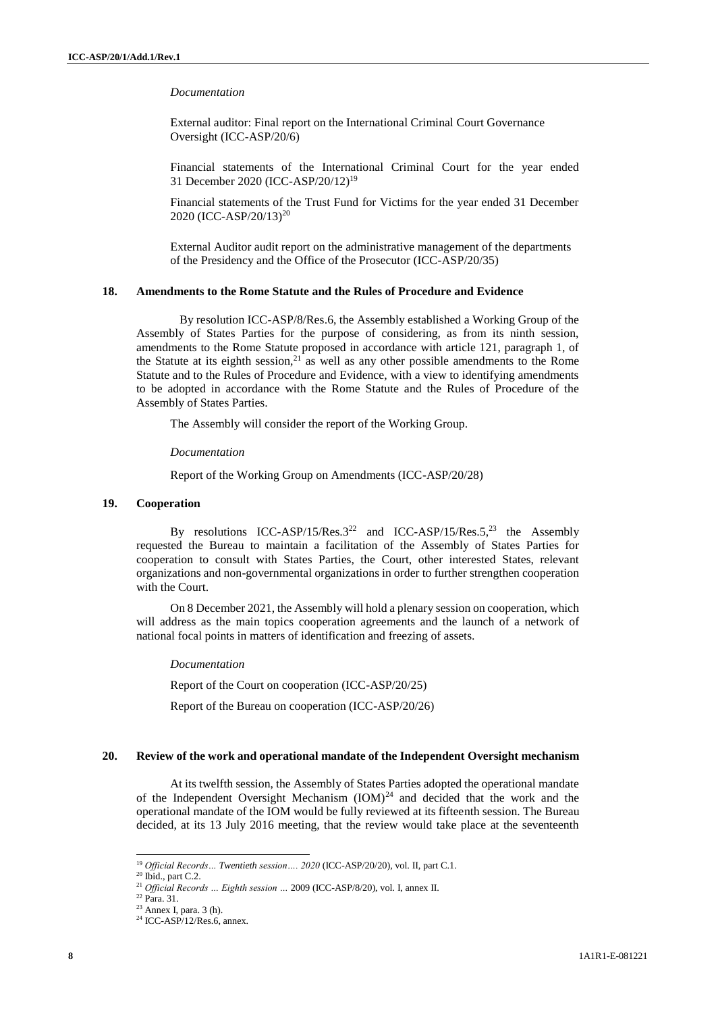*Documentation*

External auditor: Final report on the International Criminal Court Governance Oversight (ICC-ASP/20/6)

Financial statements of the International Criminal Court for the year ended 31 December 2020 (ICC-ASP/20/12)<sup>19</sup>

Financial statements of the Trust Fund for Victims for the year ended 31 December 2020 (ICC-ASP/20/13) 20

External Auditor audit report on the administrative management of the departments of the Presidency and the Office of the Prosecutor (ICC-ASP/20/35)

## **18. Amendments to the Rome Statute and the Rules of Procedure and Evidence**

By resolution ICC-ASP/8/Res.6, the Assembly established a Working Group of the Assembly of States Parties for the purpose of considering, as from its ninth session, amendments to the Rome Statute proposed in accordance with article 121, paragraph 1, of the Statute at its eighth session, $2^{1}$  as well as any other possible amendments to the Rome Statute and to the Rules of Procedure and Evidence, with a view to identifying amendments to be adopted in accordance with the Rome Statute and the Rules of Procedure of the Assembly of States Parties.

The Assembly will consider the report of the Working Group.

*Documentation*

Report of the Working Group on Amendments (ICC-ASP/20/28)

#### **19. Cooperation**

By resolutions ICC-ASP/15/Res.3<sup>22</sup> and ICC-ASP/15/Res.5,<sup>23</sup> the Assembly requested the Bureau to maintain a facilitation of the Assembly of States Parties for cooperation to consult with States Parties, the Court, other interested States, relevant organizations and non-governmental organizations in order to further strengthen cooperation with the Court.

On 8 December 2021, the Assembly will hold a plenary session on cooperation, which will address as the main topics cooperation agreements and the launch of a network of national focal points in matters of identification and freezing of assets.

*Documentation*

Report of the Court on cooperation (ICC-ASP/20/25)

Report of the Bureau on cooperation (ICC-ASP/20/26)

### **20. Review of the work and operational mandate of the Independent Oversight mechanism**

At its twelfth session, the Assembly of States Parties adopted the operational mandate of the Independent Oversight Mechanism (IOM)<sup>24</sup> and decided that the work and the operational mandate of the IOM would be fully reviewed at its fifteenth session. The Bureau decided, at its 13 July 2016 meeting, that the review would take place at the seventeenth

<sup>19</sup> *Official Records… Twentieth session…. 2020* (ICC-ASP/20/20), vol. II, part C.1.

 $20$  Ibid., part C.2.

<sup>21</sup> *Official Records … Eighth session …* 2009 (ICC-ASP/8/20), vol. I, annex II.

<sup>22</sup> Para. 31.

 $23$  Annex I, para. 3 (h).

 $24$  ICC-ASP/12/Res.6, annex.